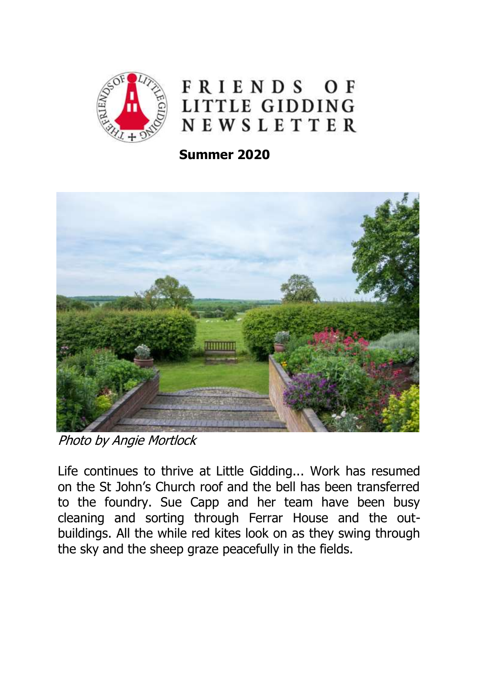

FRIENDS OF LITTLE GIDDING NEWSLETTER

 **Summer 2020**



Photo by Angie Mortlock

Life continues to thrive at Little Gidding... Work has resumed on the St John's Church roof and the bell has been transferred to the foundry. Sue Capp and her team have been busy cleaning and sorting through Ferrar House and the outbuildings. All the while red kites look on as they swing through the sky and the sheep graze peacefully in the fields.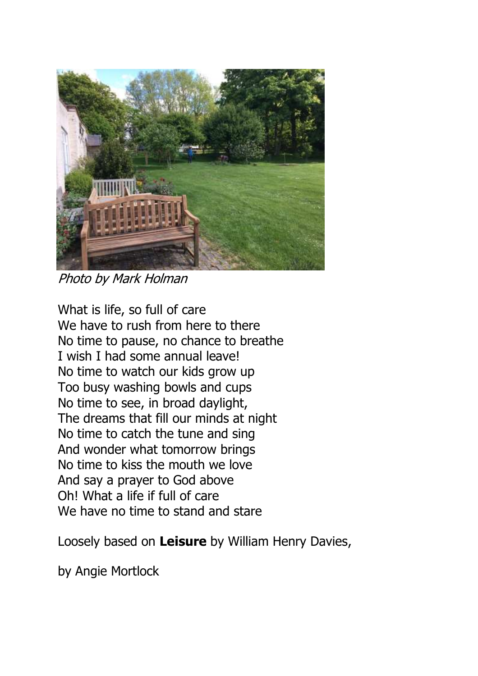

Photo by Mark Holman

What is life, so full of care We have to rush from here to there No time to pause, no chance to breathe I wish I had some annual leave! No time to watch our kids grow up Too busy washing bowls and cups No time to see, in broad daylight, The dreams that fill our minds at night No time to catch the tune and sing And wonder what tomorrow brings No time to kiss the mouth we love And say a prayer to God above Oh! What a life if full of care We have no time to stand and stare

Loosely based on **Leisure** by William Henry Davies,

by Angie Mortlock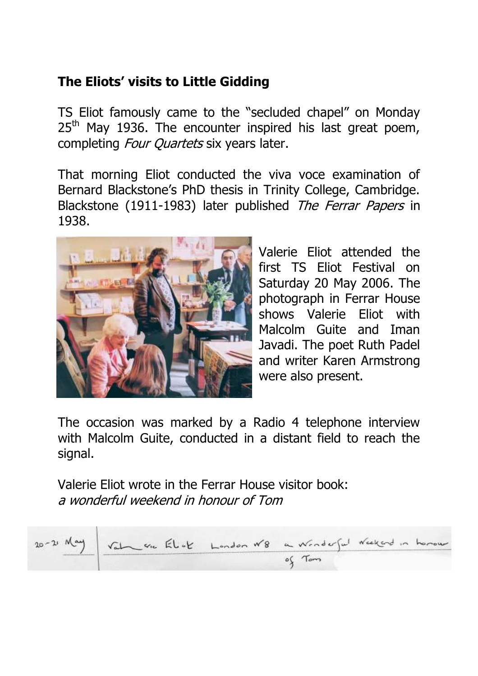# **The Eliots' visits to Little Gidding**

TS Eliot famously came to the "secluded chapel" on Monday  $25<sup>th</sup>$  May 1936. The encounter inspired his last great poem, completing *Four Quartets* six years later.

That morning Eliot conducted the viva voce examination of Bernard Blackstone's PhD thesis in Trinity College, Cambridge. Blackstone (1911-1983) later published The Ferrar Papers in 1938.



Valerie Eliot attended the first TS Eliot Festival on Saturday 20 May 2006. The photograph in Ferrar House shows Valerie Eliot with Malcolm Guite and Iman Javadi. The poet Ruth Padel and writer Karen Armstrong were also present.

The occasion was marked by a Radio 4 telephone interview with Malcolm Guite, conducted in a distant field to reach the signal.

Valerie Eliot wrote in the Ferrar House visitor book: a wonderful weekend in honour of Tom

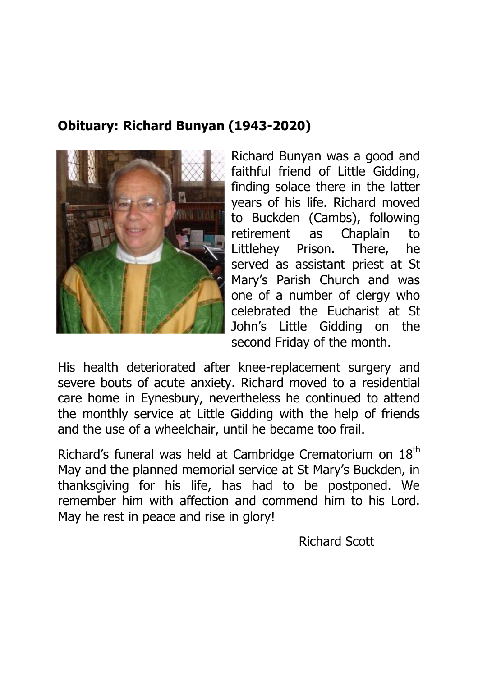## **Obituary: Richard Bunyan (1943-2020)**



Richard Bunyan was a good and faithful friend of Little Gidding, finding solace there in the latter years of his life. Richard moved to Buckden (Cambs), following retirement as Chaplain to Littlehey Prison. There, he served as assistant priest at St Mary's Parish Church and was one of a number of clergy who celebrated the Eucharist at St John's Little Gidding on the second Friday of the month.

His health deteriorated after knee-replacement surgery and severe bouts of acute anxiety. Richard moved to a residential care home in Eynesbury, nevertheless he continued to attend the monthly service at Little Gidding with the help of friends and the use of a wheelchair, until he became too frail.

Richard's funeral was held at Cambridge Crematorium on 18<sup>th</sup> May and the planned memorial service at St Mary's Buckden, in thanksgiving for his life, has had to be postponed. We remember him with affection and commend him to his Lord. May he rest in peace and rise in glory!

Richard Scott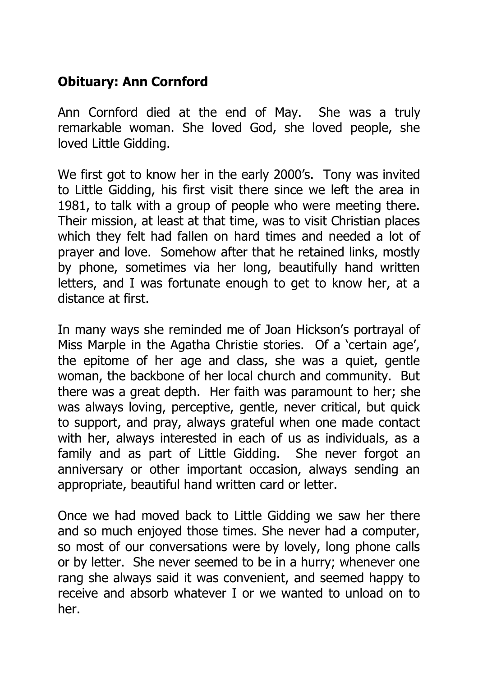## **Obituary: Ann Cornford**

Ann Cornford died at the end of May. She was a truly remarkable woman. She loved God, she loved people, she loved Little Gidding.

We first got to know her in the early 2000's. Tony was invited to Little Gidding, his first visit there since we left the area in 1981, to talk with a group of people who were meeting there. Their mission, at least at that time, was to visit Christian places which they felt had fallen on hard times and needed a lot of prayer and love. Somehow after that he retained links, mostly by phone, sometimes via her long, beautifully hand written letters, and I was fortunate enough to get to know her, at a distance at first.

In many ways she reminded me of Joan Hickson's portrayal of Miss Marple in the Agatha Christie stories. Of a 'certain age', the epitome of her age and class, she was a quiet, gentle woman, the backbone of her local church and community. But there was a great depth. Her faith was paramount to her; she was always loving, perceptive, gentle, never critical, but quick to support, and pray, always grateful when one made contact with her, always interested in each of us as individuals, as a family and as part of Little Gidding. She never forgot an anniversary or other important occasion, always sending an appropriate, beautiful hand written card or letter.

Once we had moved back to Little Gidding we saw her there and so much enjoyed those times. She never had a computer, so most of our conversations were by lovely, long phone calls or by letter. She never seemed to be in a hurry; whenever one rang she always said it was convenient, and seemed happy to receive and absorb whatever I or we wanted to unload on to her.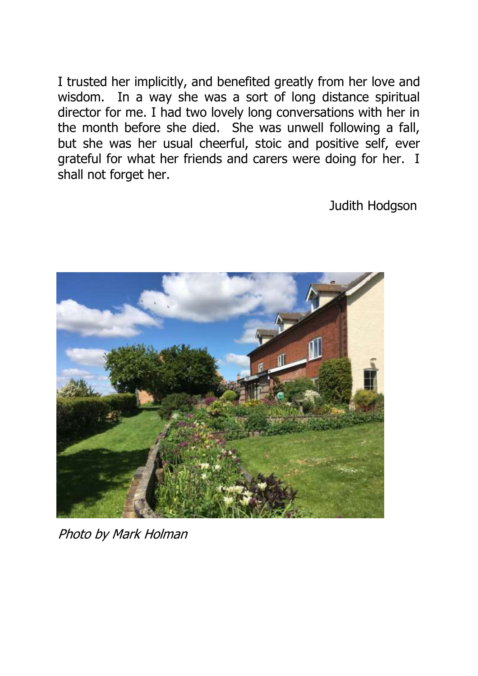I trusted her implicitly, and benefited greatly from her love and wisdom. In a way she was a sort of long distance spiritual director for me. I had two lovely long conversations with her in the month before she died. She was unwell following a fall, but she was her usual cheerful, stoic and positive self, ever grateful for what her friends and carers were doing for her. I shall not forget her.

Judith Hodgson



Photo by Mark Holman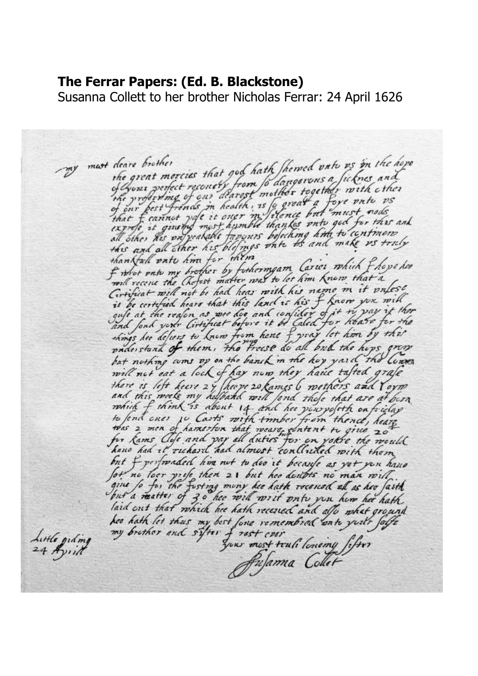### **The Ferrar Papers: (Ed. B. Blackstone)**

Susanna Collett to her brother Nicholas Ferrar: 24 April 1626

deare brother<br>the great morcies that god hath Shemed onto os in the hope my must deare brother the great morcies that god hath perpea one ficknes and<br>of your perfect reconcity from to dangerous a ficknes and the professing of our dearest mother regered with use<br>of our best frends in health, is a great a fore vnte vs<br>that f cannot yate it over in filence but must node<br>express it guand most humble thanks who god for this and express it guard most anywer inalizing kind to continuers<br>all other his on yearable fapones befecting kind to continuers than Kall onto him for them than Mall patt hm for members am Carier which flops her F what onto my brother by functing to let him know that a Circulat will not be had hear with his name in it valese Circuiticat mill not be had hear mith his name in it buyes.<br>it be cortified hears that this land is his f know you will<br>and fond your Circuitiat before it be Caled for heave for the<br>things hee defiers to know from hene f y but nothing coms of on the banch in the hoy yard the lower will not eat a lock of hay now they have talted grafe there is left heure 24 heure 20 kames 6 methors and Yoyne<br>and this mosk my husband with find these that are at been.<br>which f think is about 14- and her youngstift on friend.<br>to fend ones 10 Carts with timber from thence, h for kams Close and pay all duties for on volve the would hano had it richard had almost concluded with them but f perfonded him not to doo it because as yot you have for no loor yrife then 21 but hoo desibles no man with.<br>give fo for the furting muny her hath recessed all as her faith<br>but a matter of 30 her will writ with you how her hath.<br>laid out that which her hath recessed and allo kes hath let thus my best fore remembrat anti-great facts<br>my brother and sifter frest cost truli lonoing fifter Little ordina 24 April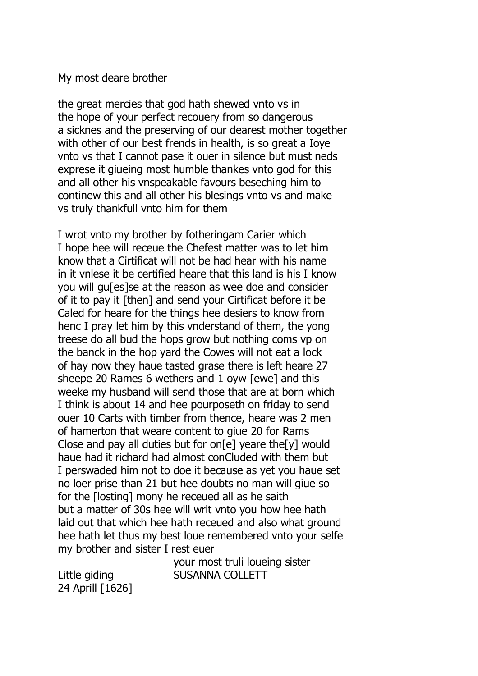#### My most deare brother

the great mercies that god hath shewed vnto vs in the hope of your perfect recouery from so dangerous a sicknes and the preserving of our dearest mother together with other of our best frends in health, is so great a Ioye vnto vs that I cannot pase it ouer in silence but must neds exprese it giueing most humble thankes vnto god for this and all other his vnspeakable favours beseching him to continew this and all other his blesings vnto vs and make vs truly thankfull vnto him for them

I wrot vnto my brother by fotheringam Carier which I hope hee will receue the Chefest matter was to let him know that a Cirtificat will not be had hear with his name in it vnlese it be certified heare that this land is his I know you will gu[es]se at the reason as wee doe and consider of it to pay it [then] and send your Cirtificat before it be Caled for heare for the things hee desiers to know from henc I pray let him by this vnderstand of them, the yong treese do all bud the hops grow but nothing coms vp on the banck in the hop yard the Cowes will not eat a lock of hay now they haue tasted grase there is left heare 27 sheepe 20 Rames 6 wethers and 1 oyw [ewe] and this weeke my husband will send those that are at born which I think is about 14 and hee pourposeth on friday to send ouer 10 Carts with timber from thence, heare was 2 men of hamerton that weare content to giue 20 for Rams Close and pay all duties but for on[e] yeare the[y] would haue had it richard had almost conCluded with them but I perswaded him not to doe it because as yet you haue set no loer prise than 21 but hee doubts no man will giue so for the [losting] mony he receued all as he saith but a matter of 30s hee will writ vnto you how hee hath laid out that which hee hath receued and also what ground hee hath let thus my best loue remembered vnto your selfe my brother and sister I rest euer

your most truli loueing sister Little giding **SUSANNA COLLETT** 

24 Aprill [1626]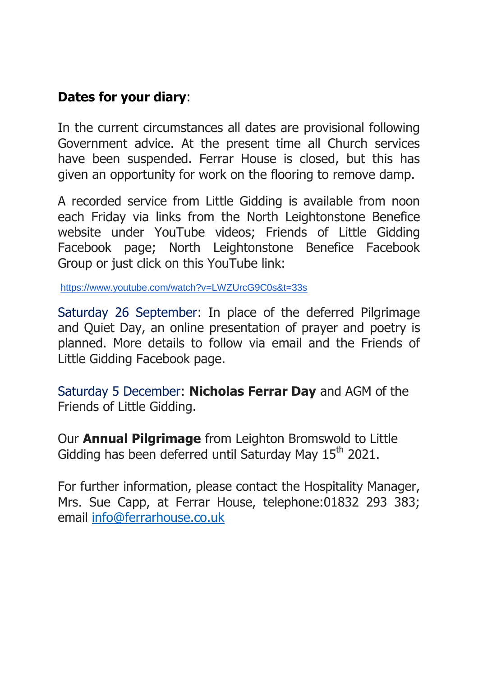### **Dates for your diary**:

In the current circumstances all dates are provisional following Government advice. At the present time all Church services have been suspended. Ferrar House is closed, but this has given an opportunity for work on the flooring to remove damp.

A recorded service from Little Gidding is available from noon each Friday via links from the North Leightonstone Benefice website under YouTube videos; Friends of Little Gidding Facebook page; North Leightonstone Benefice Facebook Group or just click on this YouTube link:

<https://www.youtube.com/watch?v=LWZUrcG9C0s&t=33s>

Saturday 26 September: In place of the deferred Pilgrimage and Quiet Day, an online presentation of prayer and poetry is planned. More details to follow via email and the Friends of Little Gidding Facebook page.

Saturday 5 December: **Nicholas Ferrar Day** and AGM of the Friends of Little Gidding.

Our **Annual Pilgrimage** from Leighton Bromswold to Little Gidding has been deferred until Saturday May  $15<sup>th</sup> 2021$ .

For further information, please contact the Hospitality Manager, Mrs. Sue Capp, at Ferrar House, telephone:01832 293 383; email [info@ferrarhouse.co.uk](about:blank)